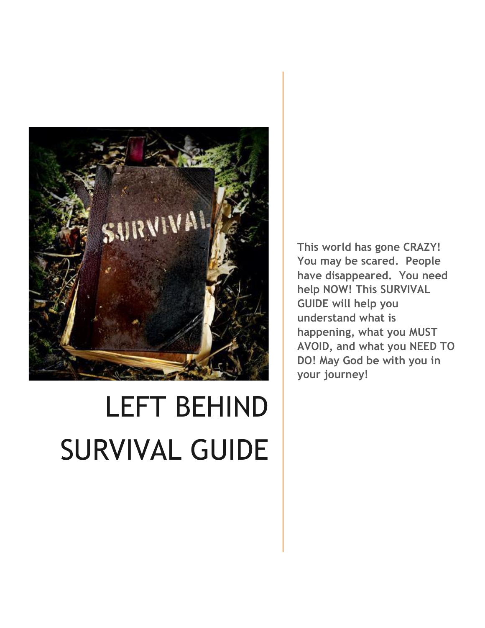

# LEFT BEHIND SURVIVAL GUIDE

**This world has gone CRAZY! You may be scared. People have disappeared. You need help NOW! This SURVIVAL GUIDE will help you understand what is happening, what you MUST AVOID, and what you NEED TO DO! May God be with you in your journey!**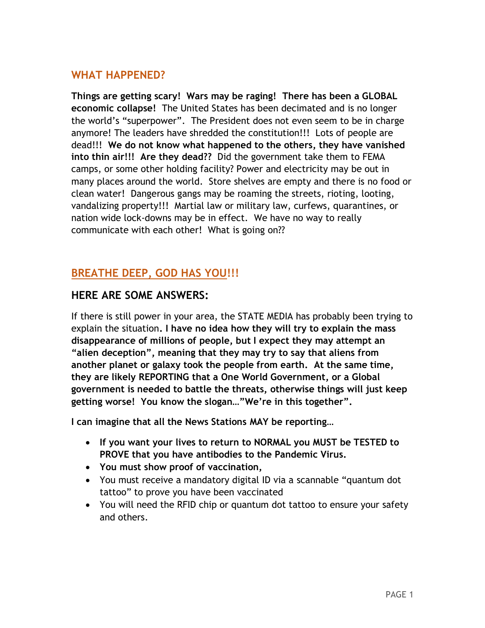## **WHAT HAPPENED?**

**Things are getting scary! Wars may be raging! There has been a GLOBAL economic collapse!** The United States has been decimated and is no longer the world's "superpower". The President does not even seem to be in charge anymore! The leaders have shredded the constitution!!! Lots of people are dead!!! **We do not know what happened to the others, they have vanished into thin air!!! Are they dead??** Did the government take them to FEMA camps, or some other holding facility? Power and electricity may be out in many places around the world. Store shelves are empty and there is no food or clean water! Dangerous gangs may be roaming the streets, rioting, looting, vandalizing property!!! Martial law or military law, curfews, quarantines, or nation wide lock-downs may be in effect. We have no way to really communicate with each other! What is going on??

## **BREATHE DEEP, GOD HAS YOU!!!**

## **HERE ARE SOME ANSWERS:**

If there is still power in your area, the STATE MEDIA has probably been trying to explain the situation**. I have no idea how they will try to explain the mass disappearance of millions of people, but I expect they may attempt an "alien deception", meaning that they may try to say that aliens from another planet or galaxy took the people from earth. At the same time, they are likely REPORTING that a One World Government, or a Global government is needed to battle the threats, otherwise things will just keep getting worse! You know the slogan…"We're in this together".** 

**I can imagine that all the News Stations MAY be reporting…**

- **If you want your lives to return to NORMAL you MUST be TESTED to PROVE that you have antibodies to the Pandemic Virus.**
- **You must show proof of vaccination,**
- You must receive a mandatory digital ID via a scannable "quantum dot tattoo" to prove you have been vaccinated
- You will need the RFID chip or quantum dot tattoo to ensure your safety and others.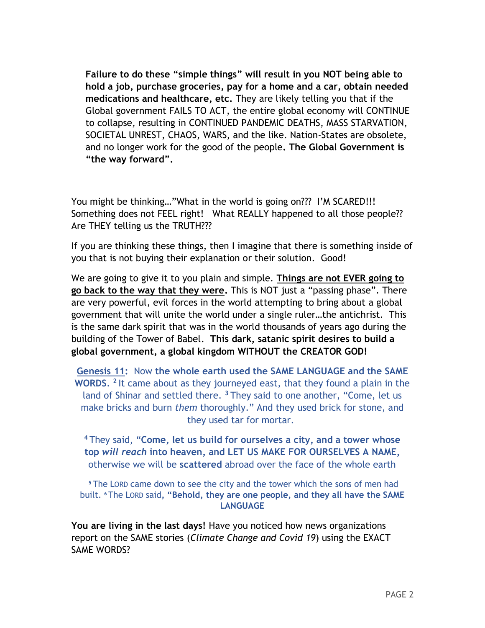**Failure to do these "simple things" will result in you NOT being able to hold a job, purchase groceries, pay for a home and a car, obtain needed medications and healthcare, etc.** They are likely telling you that if the Global government FAILS TO ACT, the entire global economy will CONTINUE to collapse, resulting in CONTINUED PANDEMIC DEATHS, MASS STARVATION, SOCIETAL UNREST, CHAOS, WARS, and the like. Nation-States are obsolete, and no longer work for the good of the people**. The Global Government is "the way forward".** 

You might be thinking..."What in the world is going on??? I'M SCARED!!! Something does not FEEL right! What REALLY happened to all those people?? Are THEY telling us the TRUTH???

If you are thinking these things, then I imagine that there is something inside of you that is not buying their explanation or their solution. Good!

We are going to give it to you plain and simple. **Things are not EVER going to go back to the way that they were.** This is NOT just a "passing phase". There are very powerful, evil forces in the world attempting to bring about a global government that will unite the world under a single ruler…the antichrist. This is the same dark spirit that was in the world thousands of years ago during the building of the Tower of Babel. **This dark, satanic spirit desires to build a global government, a global kingdom WITHOUT the CREATOR GOD!** 

**Genesis 11:** Now **the whole earth used the SAME LANGUAGE and the SAME WORDS**. **2** It came about as they journeyed east, that they found a plain in the land of Shinar and settled there. **<sup>3</sup>** They said to one another, "Come, let us make bricks and burn *them* thoroughly." And they used brick for stone, and they used tar for mortar.

**<sup>4</sup>** They said, "**Come, let us build for ourselves a city, and a tower whose top** *will reach* **into heaven, and LET US MAKE FOR OURSELVES A NAME,** otherwise we will be **scattered** abroad over the face of the whole earth

**<sup>5</sup>** The LORD came down to see the city and the tower which the sons of men had built. **<sup>6</sup>** The LORD said**, "Behold, they are one people, and they all have the SAME LANGUAGE**

**You are living in the last days!** Have you noticed how news organizations report on the SAME stories (*Climate Change and Covid 19*) using the EXACT SAME WORDS?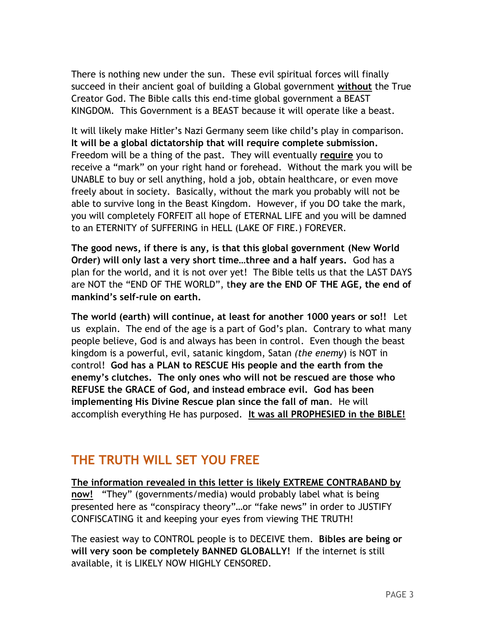There is nothing new under the sun. These evil spiritual forces will finally succeed in their ancient goal of building a Global government **without** the True Creator God. The Bible calls this end-time global government a BEAST KINGDOM. This Government is a BEAST because it will operate like a beast.

It will likely make Hitler's Nazi Germany seem like child's play in comparison. **It will be a global dictatorship that will require complete submission.** Freedom will be a thing of the past. They will eventually **require** you to receive a "mark" on your right hand or forehead. Without the mark you will be UNABLE to buy or sell anything, hold a job, obtain healthcare, or even move freely about in society. Basically, without the mark you probably will not be able to survive long in the Beast Kingdom. However, if you DO take the mark, you will completely FORFEIT all hope of ETERNAL LIFE and you will be damned to an ETERNITY of SUFFERING in HELL (LAKE OF FIRE.) FOREVER.

**The good news, if there is any, is that this global government (New World Order) will only last a very short time…three and a half years.** God has a plan for the world, and it is not over yet! The Bible tells us that the LAST DAYS are NOT the "END OF THE WORLD", t**hey are the END OF THE AGE, the end of mankind's self-rule on earth.**

**The world (earth) will continue, at least for another 1000 years or so!!** Let us explain. The end of the age is a part of God's plan. Contrary to what many people believe, God is and always has been in control. Even though the beast kingdom is a powerful, evil, satanic kingdom, Satan *(the enemy*) is NOT in control! **God has a PLAN to RESCUE His people and the earth from the enemy's clutches. The only ones who will not be rescued are those who REFUSE the GRACE of God, and instead embrace evil. God has been implementing His Divine Rescue plan since the fall of man**. He will accomplish everything He has purposed. **It was all PROPHESIED in the BIBLE!** 

# **THE TRUTH WILL SET YOU FREE**

**The information revealed in this letter is likely EXTREME CONTRABAND by now!** "They" (governments/media) would probably label what is being presented here as "conspiracy theory"…or "fake news" in order to JUSTIFY CONFISCATING it and keeping your eyes from viewing THE TRUTH!

The easiest way to CONTROL people is to DECEIVE them. **Bibles are being or will very soon be completely BANNED GLOBALLY!** If the internet is still available, it is LIKELY NOW HIGHLY CENSORED.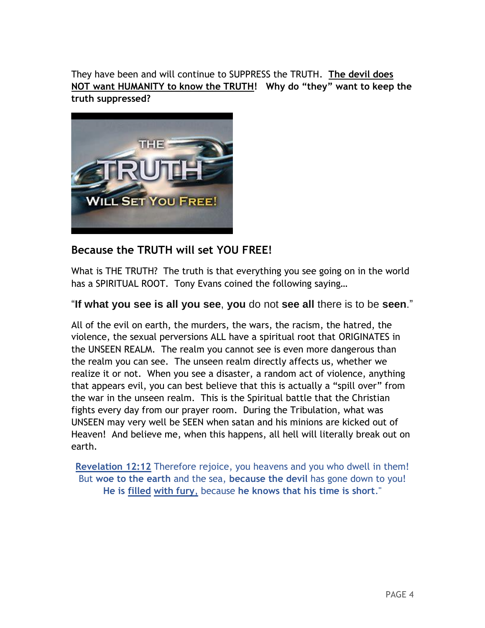They have been and will continue to SUPPRESS the TRUTH. **The devil does NOT want HUMANITY to know the TRUTH! Why do "they" want to keep the truth suppressed?** 



## **Because the TRUTH will set YOU FREE!**

What is THE TRUTH? The truth is that everything you see going on in the world has a SPIRITUAL ROOT. Tony Evans coined the following saying…

### "**If what you see is all you see**, **you** do not **see all** there is to be **seen**."

All of the evil on earth, the murders, the wars, the racism, the hatred, the violence, the sexual perversions ALL have a spiritual root that ORIGINATES in the UNSEEN REALM. The realm you cannot see is even more dangerous than the realm you can see. The unseen realm directly affects us, whether we realize it or not. When you see a disaster, a random act of violence, anything that appears evil, you can best believe that this is actually a "spill over" from the war in the unseen realm. This is the Spiritual battle that the Christian fights every day from our prayer room. During the Tribulation, what was UNSEEN may very well be SEEN when satan and his minions are kicked out of Heaven! And believe me, when this happens, all hell will literally break out on earth.

**[Revelation 12:12](http://www.biblica.com/en-us/bible/online-bible/niv/revelation/12/)** Therefore rejoice, you heavens and you who dwell in them! But **woe to the earth** and the sea, **because the devil** has gone down to you! **He is filled with fury**, because **he knows that his time is short**."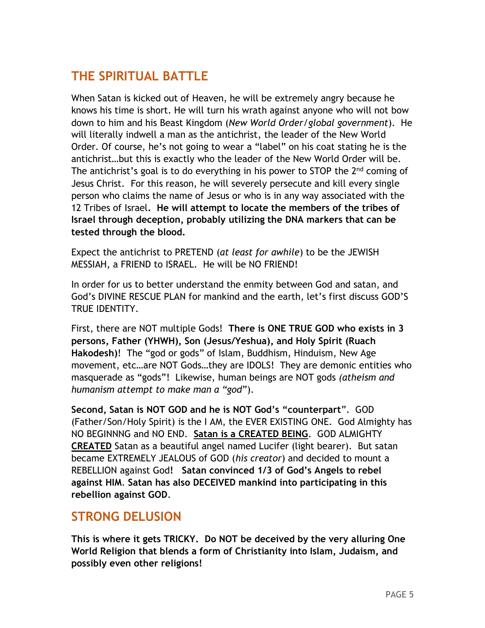# **THE SPIRITUAL BATTLE**

When Satan is kicked out of Heaven, he will be extremely angry because he knows his time is short. He will turn his wrath against anyone who will not bow down to him and his Beast Kingdom (*New World Order/global government*). He will literally indwell a man as the antichrist, the leader of the New World Order. Of course, he's not going to wear a "label" on his coat stating he is the antichrist…but this is exactly who the leader of the New World Order will be. The antichrist's goal is to do everything in his power to STOP the 2<sup>nd</sup> coming of Jesus Christ. For this reason, he will severely persecute and kill every single person who claims the name of Jesus or who is in any way associated with the 12 Tribes of Israel**. He will attempt to locate the members of the tribes of Israel through deception, probably utilizing the DNA markers that can be tested through the blood.**

Expect the antichrist to PRETEND (*at least for awhile*) to be the JEWISH MESSIAH, a FRIEND to ISRAEL. He will be NO FRIEND!

In order for us to better understand the enmity between God and satan, and God's DIVINE RESCUE PLAN for mankind and the earth, let's first discuss GOD'S TRUE IDENTITY.

First, there are NOT multiple Gods! **There is ONE TRUE GOD who exists in 3 persons, Father (YHWH), Son (Jesus/Yeshua), and Holy Spirit (Ruach Hakodesh)**! The "god or gods" of Islam, Buddhism, Hinduism, New Age movement, etc…are NOT Gods…they are IDOLS! They are demonic entities who masquerade as "gods"! Likewise, human beings are NOT gods *(atheism and humanism attempt to make man a "god*").

**Second, Satan is NOT GOD and he is NOT God's "counterpart**". GOD (Father/Son/Holy Spirit) is the I AM, the EVER EXISTING ONE. God Almighty has NO BEGINNNG and NO END. **Satan is a CREATED BEING**. GOD ALMIGHTY **CREATED** Satan as a beautiful angel named Lucifer (light bearer). But satan became EXTREMELY JEALOUS of GOD (*his creator*) and decided to mount a REBELLION against God**! Satan convinced 1/3 of God's Angels to rebel against HIM**. **Satan has also DECEIVED mankind into participating in this rebellion against GOD**.

## **STRONG DELUSION**

**This is where it gets TRICKY. Do NOT be deceived by the very alluring One World Religion that blends a form of Christianity into Islam, Judaism, and possibly even other religions!**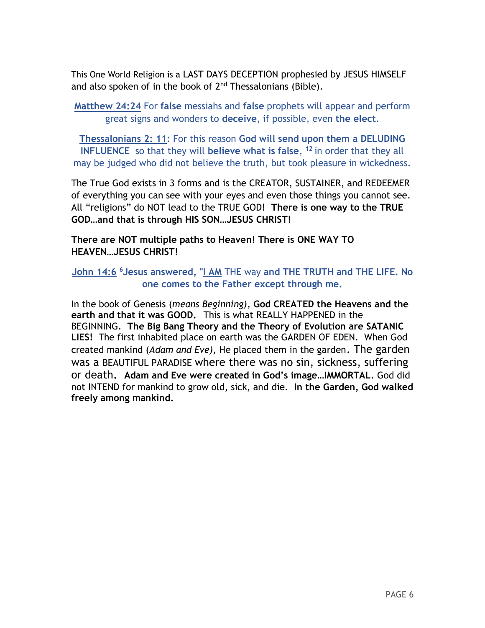This One World Religion is a LAST DAYS DECEPTION prophesied by JESUS HIMSELF and also spoken of in the book of 2<sup>nd</sup> Thessalonians (Bible).

**[Matthew 24:24](http://www.biblica.com/en-us/bible/online-bible/niv/matthew/24/)** For **false** messiahs and **false** prophets will appear and perform great signs and wonders to **deceive**, if possible, even **the elect**.

**Thessalonians 2: 11:** For this reason **God will send upon them a DELUDING INFLUENCE** so that they will **believe what is false**, **<sup>12</sup>** in order that they all may be judged who did not believe the truth, but took pleasure in wickedness.

The True God exists in 3 forms and is the CREATOR, SUSTAINER, and REDEEMER of everything you can see with your eyes and even those things you cannot see. All "religions" do NOT lead to the TRUE GOD! **There is one way to the TRUE GOD…and that is through HIS SON…JESUS CHRIST!** 

**There are NOT multiple paths to Heaven! There is ONE WAY TO HEAVEN…JESUS CHRIST!** 

**[John 14:6](http://www.biblica.com/en-us/bible/online-bible/niv/john/14/) <sup>6</sup>Jesus answered, "**I **AM** THE way **and THE TRUTH and THE LIFE. No one comes to the Father except through me.**

In the book of Genesis (*means Beginning),* **God CREATED the Heavens and the earth and that it was GOOD.** This is what REALLY HAPPENED in the BEGINNING. **The Big Bang Theory and the Theory of Evolution are SATANIC LIES!** The first inhabited place on earth was the GARDEN OF EDEN. When God created mankind (*Adam and Eve),* He placed them in the garden. The garden was a BEAUTIFUL PARADISE where there was no sin, sickness, suffering or death**. Adam and Eve were created in God's image…IMMORTAL**. God did not INTEND for mankind to grow old, sick, and die. **In the Garden, God walked freely among mankind.**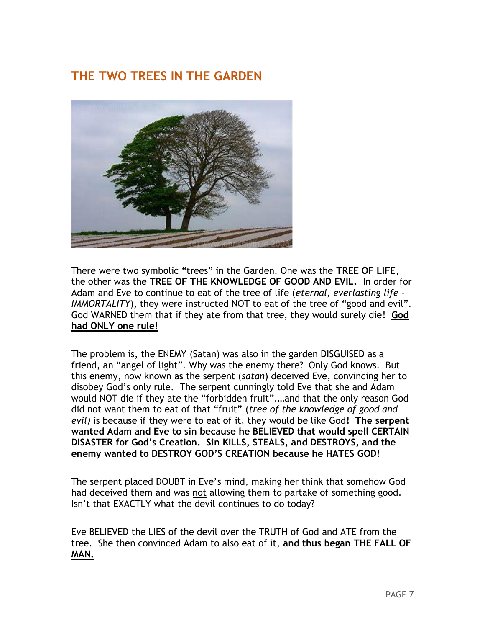# **THE TWO TREES IN THE GARDEN**



There were two symbolic "trees" in the Garden. One was the **TREE OF LIFE**, the other was the **TREE OF THE KNOWLEDGE OF GOOD AND EVIL.** In order for Adam and Eve to continue to eat of the tree of life (*eternal, everlasting life - IMMORTALITY*), they were instructed NOT to eat of the tree of "good and evil". God WARNED them that if they ate from that tree, they would surely die! **God had ONLY one rule!**

The problem is, the ENEMY (Satan) was also in the garden DISGUISED as a friend, an "angel of light". Why was the enemy there? Only God knows. But this enemy, now known as the serpent (*satan*) deceived Eve, convincing her to disobey God's only rule. The serpent cunningly told Eve that she and Adam would NOT die if they ate the "forbidden fruit".…and that the only reason God did not want them to eat of that "fruit" (*tree of the knowledge of good and evil)* is because if they were to eat of it, they would be like God**! The serpent wanted Adam and Eve to sin because he BELIEVED that would spell CERTAIN DISASTER for God's Creation. Sin KILLS, STEALS, and DESTROYS, and the enemy wanted to DESTROY GOD'S CREATION because he HATES GOD!**

The serpent placed DOUBT in Eve's mind, making her think that somehow God had deceived them and was not allowing them to partake of something good. Isn't that EXACTLY what the devil continues to do today?

Eve BELIEVED the LIES of the devil over the TRUTH of God and ATE from the tree. She then convinced Adam to also eat of it, **and thus began THE FALL OF MAN.**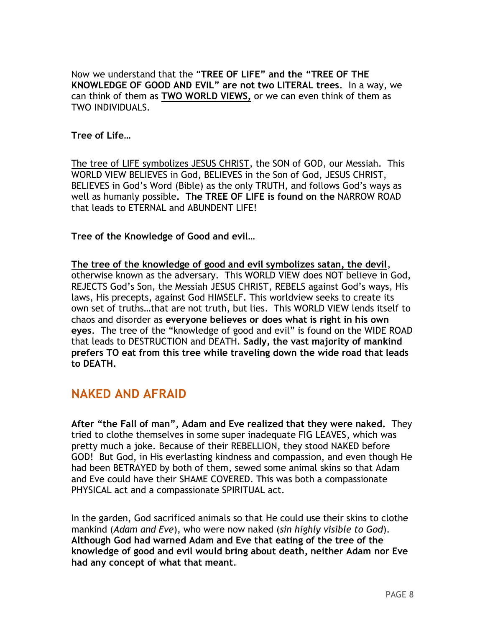Now we understand that the "**TREE OF LIFE" and the "TREE OF THE KNOWLEDGE OF GOOD AND EVIL" are not two LITERAL trees**. In a way, we can think of them as **TWO WORLD VIEWS,** or we can even think of them as TWO INDIVIDUALS.

#### **Tree of Life…**

The tree of LIFE symbolizes JESUS CHRIST, the SON of GOD, our Messiah. This WORLD VIEW BELIEVES in God, BELIEVES in the Son of God, JESUS CHRIST, BELIEVES in God's Word (Bible) as the only TRUTH, and follows God's ways as well as humanly possible**. The TREE OF LIFE is found on the** NARROW ROAD that leads to ETERNAL and ABUNDENT LIFE!

#### **Tree of the Knowledge of Good and evil…**

**The tree of the knowledge of good and evil symbolizes satan, the devil**, otherwise known as the adversary. This WORLD VIEW does NOT believe in God, REJECTS God's Son, the Messiah JESUS CHRIST, REBELS against God's ways, His laws, His precepts, against God HIMSELF. This worldview seeks to create its own set of truths…that are not truth, but lies. This WORLD VIEW lends itself to chaos and disorder as **everyone believes or does what is right in his own eyes**. The tree of the "knowledge of good and evil" is found on the WIDE ROAD that leads to DESTRUCTION and DEATH. **Sadly, the vast majority of mankind prefers TO eat from this tree while traveling down the wide road that leads to DEATH.**

## **NAKED AND AFRAID**

**After "the Fall of man", Adam and Eve realized that they were naked.** They tried to clothe themselves in some super inadequate FIG LEAVES, which was pretty much a joke. Because of their REBELLION, they stood NAKED before GOD! But God, in His everlasting kindness and compassion, and even though He had been BETRAYED by both of them, sewed some animal skins so that Adam and Eve could have their SHAME COVERED. This was both a compassionate PHYSICAL act and a compassionate SPIRITUAL act.

In the garden, God sacrificed animals so that He could use their skins to clothe mankind (*Adam and Eve*), who were now naked (*sin highly visible to God*). **Although God had warned Adam and Eve that eating of the tree of the knowledge of good and evil would bring about death, neither Adam nor Eve had any concept of what that meant**.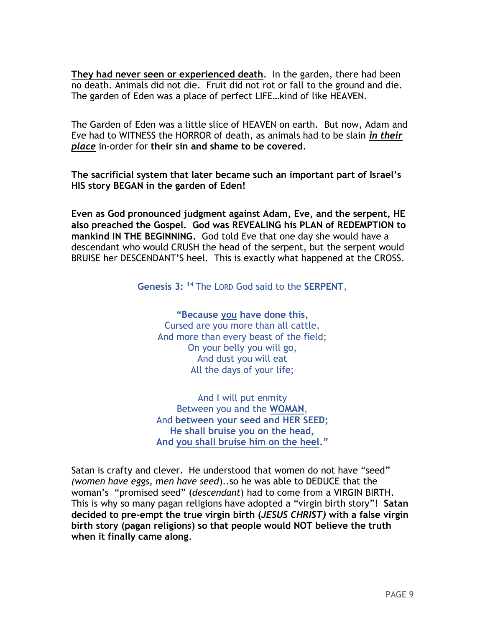**They had never seen or experienced death**. In the garden, there had been no death. Animals did not die. Fruit did not rot or fall to the ground and die. The garden of Eden was a place of perfect LIFE…kind of like HEAVEN.

The Garden of Eden was a little slice of HEAVEN on earth. But now, Adam and Eve had to WITNESS the HORROR of death, as animals had to be slain *in their place* in-order for **their sin and shame to be covered**.

**The sacrificial system that later became such an important part of Israel's HIS story BEGAN in the garden of Eden!**

**Even as God pronounced judgment against Adam, Eve, and the serpent, HE also preached the Gospel. God was REVEALING his PLAN of REDEMPTION to mankind IN THE BEGINNING.** God told Eve that one day she would have a descendant who would CRUSH the head of the serpent, but the serpent would BRUISE her DESCENDANT'S heel. This is exactly what happened at the CROSS.

**Genesis 3: <sup>14</sup>** The LORD God said to the **SERPENT**,

**"Because you have done this,** Cursed are you more than all cattle, And more than every beast of the field; On your belly you will go, And dust you will eat All the days of your life;

And I will put enmity Between you and the **WOMAN**, And **between your seed and HER SEED; He shall bruise you on the head, And you shall bruise him on the heel."**

Satan is crafty and clever. He understood that women do not have "seed" *(women have eggs, men have seed*)..so he was able to DEDUCE that the woman's "promised seed" (*descendant*) had to come from a VIRGIN BIRTH. This is why so many pagan religions have adopted a "virgin birth story"! **Satan decided to pre-empt the true virgin birth (***JESUS CHRIST)* **with a false virgin birth story (pagan religions) so that people would NOT believe the truth when it finally came along**.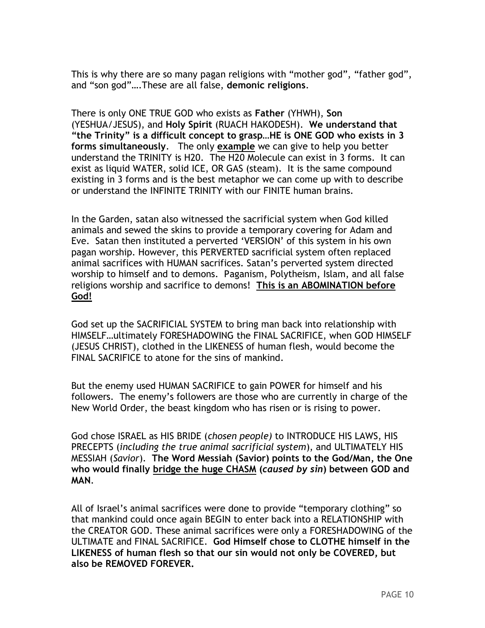This is why there are so many pagan religions with "mother god", "father god", and "son god"….These are all false, **demonic religions**.

There is only ONE TRUE GOD who exists as **Father** (YHWH), **Son** (YESHUA/JESUS), and **Holy Spirit** (RUACH HAKODESH). **We understand that "the Trinity" is a difficult concept to grasp…HE is ONE GOD who exists in 3 forms simultaneously**. The only **example** we can give to help you better understand the TRINITY is H20. The H20 Molecule can exist in 3 forms. It can exist as liquid WATER, solid ICE, OR GAS (steam). It is the same compound existing in 3 forms and is the best metaphor we can come up with to describe or understand the INFINITE TRINITY with our FINITE human brains.

In the Garden, satan also witnessed the sacrificial system when God killed animals and sewed the skins to provide a temporary covering for Adam and Eve. Satan then instituted a perverted 'VERSION' of this system in his own pagan worship. However, this PERVERTED sacrificial system often replaced animal sacrifices with HUMAN sacrifices. Satan's perverted system directed worship to himself and to demons. Paganism, Polytheism, Islam, and all false religions worship and sacrifice to demons! **This is an ABOMINATION before God!**

God set up the SACRIFICIAL SYSTEM to bring man back into relationship with HIMSELF…ultimately FORESHADOWING the FINAL SACRIFICE, when GOD HIMSELF (JESUS CHRIST), clothed in the LIKENESS of human flesh, would become the FINAL SACRIFICE to atone for the sins of mankind.

But the enemy used HUMAN SACRIFICE to gain POWER for himself and his followers. The enemy's followers are those who are currently in charge of the New World Order, the beast kingdom who has risen or is rising to power.

God chose ISRAEL as HIS BRIDE (*chosen people)* to INTRODUCE HIS LAWS, HIS PRECEPTS (*including the true animal sacrificial system*), and ULTIMATELY HIS MESSIAH (*Savior*). **The Word Messiah (Savior) points to the God/Man, the One who would finally bridge the huge CHASM (***caused by sin***) between GOD and MAN**.

All of Israel's animal sacrifices were done to provide "temporary clothing" so that mankind could once again BEGIN to enter back into a RELATIONSHIP with the CREATOR GOD. These animal sacrifices were only a FORESHADOWING of the ULTIMATE and FINAL SACRIFICE. **God Himself chose to CLOTHE himself in the LIKENESS of human flesh so that our sin would not only be COVERED, but also be REMOVED FOREVER.**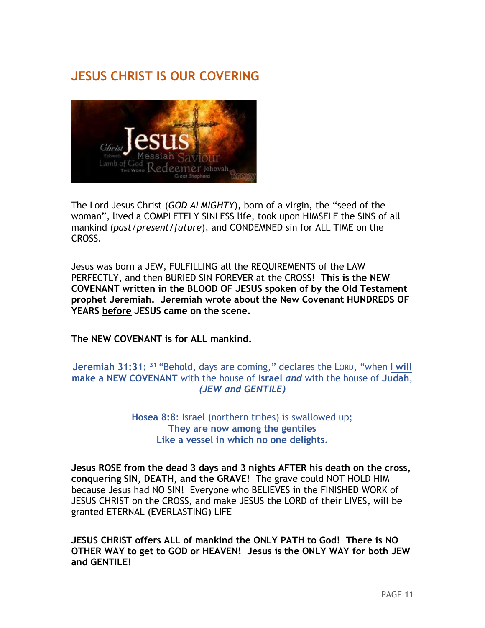# **JESUS CHRIST IS OUR COVERING**



The Lord Jesus Christ (*GOD ALMIGHTY*), born of a virgin, the "seed of the woman", lived a COMPLETELY SINLESS life, took upon HIMSELF the SINS of all mankind (*past/present/future*), and CONDEMNED sin for ALL TIME on the CROSS.

Jesus was born a JEW, FULFILLING all the REQUIREMENTS of the LAW PERFECTLY, and then BURIED SIN FOREVER at the CROSS! **This is the NEW COVENANT written in the BLOOD OF JESUS spoken of by the Old Testament prophet Jeremiah. Jeremiah wrote about the New Covenant HUNDREDS OF YEARS before JESUS came on the scene.** 

**The NEW COVENANT is for ALL mankind.**

**Jeremiah 31:31: <sup>31</sup>** "Behold, days are coming," declares the LORD, "when **I will make a NEW COVENANT** with the house of **Israel** *and* with the house of **Judah**, *(JEW and GENTILE)*

> **Hosea 8:8**: Israel (northern tribes) is swallowed up; **They are now among the gentiles Like a vessel in which no one delights.**

**Jesus ROSE from the dead 3 days and 3 nights AFTER his death on the cross, conquering SIN, DEATH, and the GRAVE!** The grave could NOT HOLD HIM because Jesus had NO SIN! Everyone who BELIEVES in the FINISHED WORK of JESUS CHRIST on the CROSS, and make JESUS the LORD of their LIVES, will be granted ETERNAL (EVERLASTING) LIFE

**JESUS CHRIST offers ALL of mankind the ONLY PATH to God! There is NO OTHER WAY to get to GOD or HEAVEN! Jesus is the ONLY WAY for both JEW and GENTILE!**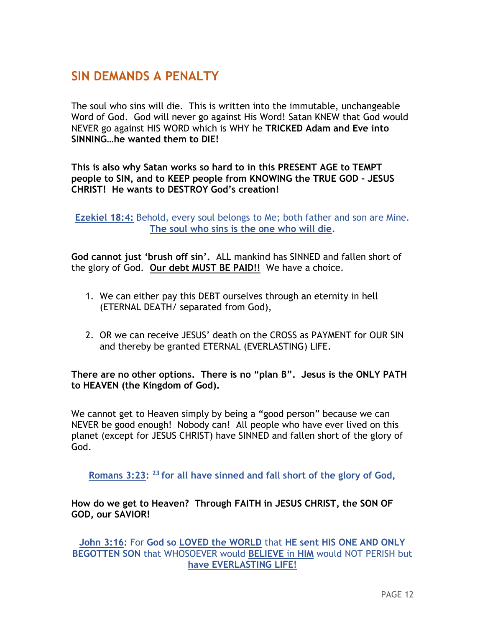## **SIN DEMANDS A PENALTY**

The soul who sins will die. This is written into the immutable, unchangeable Word of God. God will never go against His Word! Satan KNEW that God would NEVER go against HIS WORD which is WHY he **TRICKED Adam and Eve into SINNING…he wanted them to DIE!** 

**This is also why Satan works so hard to in this PRESENT AGE to TEMPT people to SIN, and to KEEP people from KNOWING the TRUE GOD – JESUS CHRIST! He wants to DESTROY God's creation!**

**Ezekiel 18:4:** Behold, every soul belongs to Me; both father and son are Mine. **The soul who sins is the one who will die.**

**God cannot just 'brush off sin'.** ALL mankind has SINNED and fallen short of the glory of God. **Our debt MUST BE PAID!!** We have a choice.

- 1. We can either pay this DEBT ourselves through an eternity in hell (ETERNAL DEATH/ separated from God),
- 2. OR we can receive JESUS' death on the CROSS as PAYMENT for OUR SIN and thereby be granted ETERNAL (EVERLASTING) LIFE.

**There are no other options. There is no "plan B". Jesus is the ONLY PATH to HEAVEN (the Kingdom of God).** 

We cannot get to Heaven simply by being a "good person" because we can NEVER be good enough! Nobody can! All people who have ever lived on this planet (except for JESUS CHRIST) have SINNED and fallen short of the glory of God.

**Romans 3:23: <sup>23</sup> for all have sinned and fall short of the glory of God,**

**How do we get to Heaven? Through FAITH in JESUS CHRIST, the SON OF GOD, our SAVIOR!** 

**John 3:16:** For **God so LOVED the WORLD** that **HE sent HIS ONE AND ONLY BEGOTTEN SON** that WHOSOEVER would **BELIEVE** in **HIM** would NOT PERISH but **have EVERLASTING LIFE!**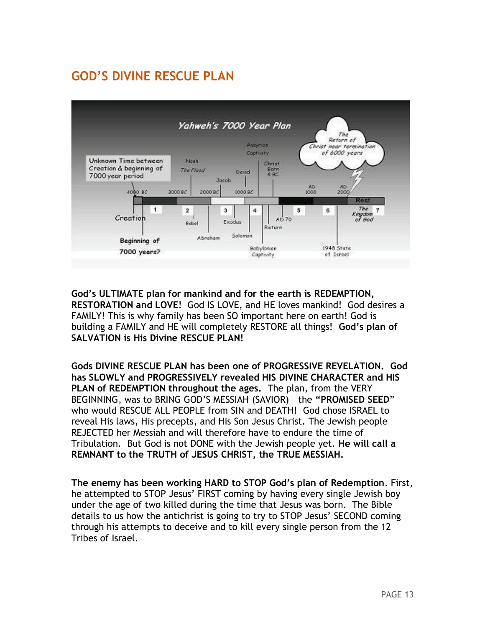# **GOD'S DIVINE RESCUE PLAN**



**God's ULTIMATE plan for mankind and for the earth is REDEMPTION, RESTORATION and LOVE**! God IS LOVE, and HE loves mankind! God desires a FAMILY! This is why family has been SO important here on earth! God is building a FAMILY and HE will completely RESTORE all things! **God's plan of SALVATION is His Divine RESCUE PLAN!**

**Gods DIVINE RESCUE PLAN has been one of PROGRESSIVE REVELATION. God has SLOWLY and PROGRESSIVELY revealed HIS DIVINE CHARACTER and HIS PLAN of REDEMPTION throughout the ages.** The plan, from the VERY BEGINNING, was to BRING GOD'S MESSIAH (SAVIOR) – the **"PROMISED SEED**" who would RESCUE ALL PEOPLE from SIN and DEATH! God chose ISRAEL to reveal His laws, His precepts, and His Son Jesus Christ. The Jewish people REJECTED her Messiah and will therefore have to endure the time of Tribulation. But God is not DONE with the Jewish people yet. **He will call a REMNANT to the TRUTH of JESUS CHRIST, the TRUE MESSIAH.**

**The enemy has been working HARD to STOP God's plan of Redemption**. First, he attempted to STOP Jesus' FIRST coming by having every single Jewish boy under the age of two killed during the time that Jesus was born. The Bible details to us how the antichrist is going to try to STOP Jesus' SECOND coming through his attempts to deceive and to kill every single person from the 12 Tribes of Israel.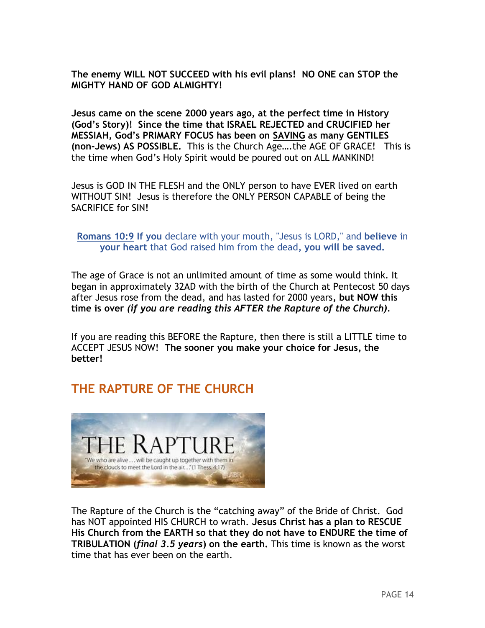**The enemy WILL NOT SUCCEED with his evil plans! NO ONE can STOP the MIGHTY HAND OF GOD ALMIGHTY!** 

**Jesus came on the scene 2000 years ago, at the perfect time in History (God's Story)! Since the time that ISRAEL REJECTED and CRUCIFIED her MESSIAH, God's PRIMARY FOCUS has been on SAVING as many GENTILES (non-Jews) AS POSSIBLE.** This is the Church Age….the AGE OF GRACE! This is the time when God's Holy Spirit would be poured out on ALL MANKIND!

Jesus is GOD IN THE FLESH and the ONLY person to have EVER lived on earth WITHOUT SIN! Jesus is therefore the ONLY PERSON CAPABLE of being the SACRIFICE for SIN**!** 

**[Romans 10:9](http://www.biblica.com/en-us/bible/online-bible/niv/romans/10/) If you** declare with your mouth, "Jesus is LORD," and **believe** in **your heart** that God raised him from the dead**, you will be saved.**

The age of Grace is not an unlimited amount of time as some would think. It began in approximately 32AD with the birth of the Church at Pentecost 50 days after Jesus rose from the dead, and has lasted for 2000 years**, but NOW this time is over** *(if you are reading this AFTER the Rapture of the Church).*

If you are reading this BEFORE the Rapture, then there is still a LITTLE time to ACCEPT JESUS NOW! **The sooner you make your choice for Jesus, the better!** 

# **THE RAPTURE OF THE CHURCH**



The Rapture of the Church is the "catching away" of the Bride of Christ. God has NOT appointed HIS CHURCH to wrath. **Jesus Christ has a plan to RESCUE His Church from the EARTH so that they do not have to ENDURE the time of TRIBULATION (***final 3.5 years***) on the earth.** This time is known as the worst time that has ever been on the earth.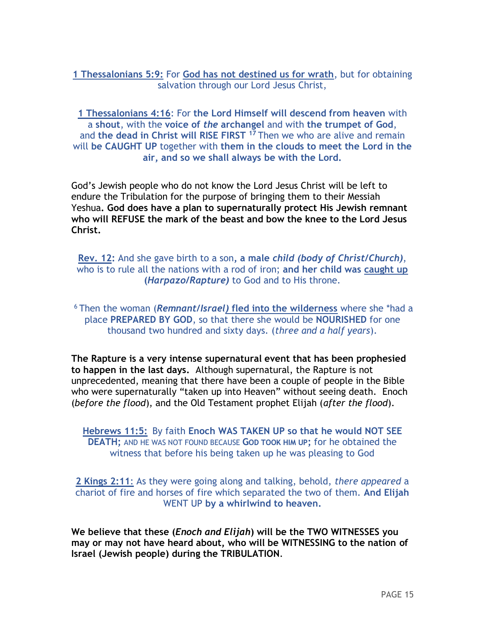**1 Thessalonians 5:9:** For **God has not destined us for wrath**, but for obtaining salvation through our Lord Jesus Christ,

**1 Thessalonians 4:16**: For **the Lord Himself will descend from heaven** with a **shout**, with the **voice of** *the* **archangel** and with **the trumpet of God**, and **the dead in Christ will RISE FIRST <sup>17</sup>** Then we who are alive and remain will **be CAUGHT UP** together with **them in the clouds to meet the Lord in the air, and so we shall always be with the Lord.**

God's Jewish people who do not know the Lord Jesus Christ will be left to endure the Tribulation for the purpose of bringing them to their Messiah Yeshua**. God does have a plan to supernaturally protect His Jewish remnant who will REFUSE the mark of the beast and bow the knee to the Lord Jesus Christ.**

**Rev. 12:** And she gave birth to a son**, a male** *child (body of Christ/Church)*, who is to rule all the nations with a rod of iron; **and her child was caught up (***Harpazo/Rapture)* to God and to His throne.

<sup>6</sup> Then the woman (*Remnant***/***Israel)* **fled into the wilderness** where she \*had a place **PREPARED BY GOD**, so that there she would be **NOURISHED** for one thousand two hundred and sixty days. (*three and a half years*).

**The Rapture is a very intense supernatural event that has been prophesied to happen in the last days.** Although supernatural, the Rapture is not unprecedented, meaning that there have been a couple of people in the Bible who were supernaturally "taken up into Heaven" without seeing death. Enoch (*before the flood*), and the Old Testament prophet Elijah (*after the flood*).

**Hebrews 11:5:** By faith **Enoch WAS TAKEN UP so that he would NOT SEE DEATH;** AND HE WAS NOT FOUND BECAUSE **GOD TOOK HIM UP;** for he obtained the witness that before his being taken up he was pleasing to God

**2 Kings 2:11**: As they were going along and talking, behold, *there appeared* a chariot of fire and horses of fire which separated the two of them. **And Elijah**  WENT UP **by a whirlwind to heaven.**

**We believe that these (***Enoch and Elijah***) will be the TWO WITNESSES you may or may not have heard about, who will be WITNESSING to the nation of Israel (Jewish people) during the TRIBULATION**.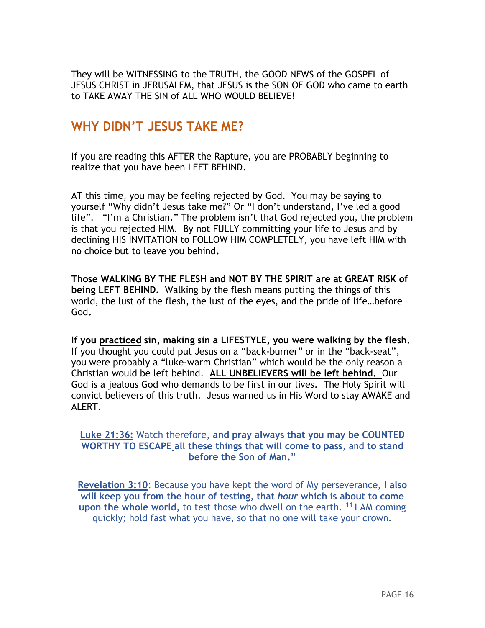They will be WITNESSING to the TRUTH, the GOOD NEWS of the GOSPEL of JESUS CHRIST in JERUSALEM, that JESUS is the SON OF GOD who came to earth to TAKE AWAY THE SIN of ALL WHO WOULD BELIEVE!

## **WHY DIDN'T JESUS TAKE ME?**

If you are reading this AFTER the Rapture, you are PROBABLY beginning to realize that you have been LEFT BEHIND.

AT this time, you may be feeling rejected by God. You may be saying to yourself "Why didn't Jesus take me?" Or "I don't understand, I've led a good life". "I'm a Christian." The problem isn't that God rejected you, the problem is that you rejected HIM. By not FULLY committing your life to Jesus and by declining HIS INVITATION to FOLLOW HIM COMPLETELY, you have left HIM with no choice but to leave you behind**.** 

**Those WALKING BY THE FLESH and NOT BY THE SPIRIT are at GREAT RISK of being LEFT BEHIND.** Walking by the flesh means putting the things of this world, the lust of the flesh, the lust of the eyes, and the pride of life…before God**.** 

**If you practiced sin, making sin a LIFESTYLE, you were walking by the flesh.**  If you thought you could put Jesus on a "back-burner" or in the "back-seat", you were probably a "luke-warm Christian" which would be the only reason a Christian would be left behind. **ALL UNBELIEVERS will be left behind.** Our God is a jealous God who demands to be first in our lives. The Holy Spirit will convict believers of this truth. Jesus warned us in His Word to stay AWAKE and ALFRT.

#### **Luke 21:36:** Watch therefore, **and pray always that you may be COUNTED WORTHY TO ESCAPE all these things that will come to pass**, and **to stand before the Son of Man."**

**Revelation 3:10**: Because you have kept the word of My perseverance**, I also will keep you from the hour of testing, that** *hour* **which is about to come upon the whole world,** to test those who dwell on the earth. **<sup>11</sup>** I AM coming quickly; hold fast what you have, so that no one will take your crown.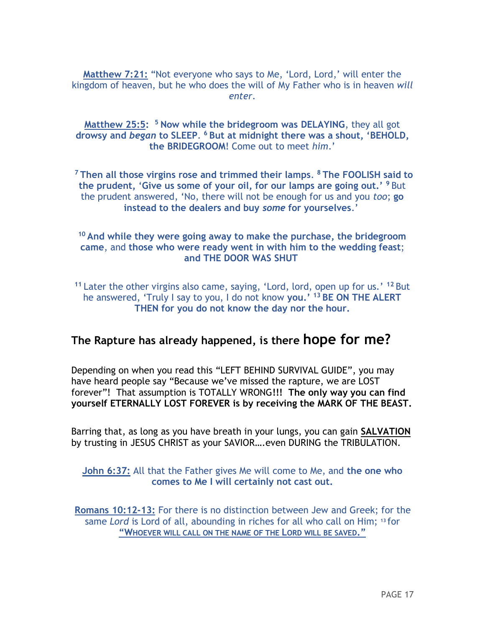**Matthew 7:21:** "Not everyone who says to Me, 'Lord, Lord,' will enter the kingdom of heaven, but he who does the will of My Father who is in heaven *will enter*.

**Matthew 25:5: <sup>5</sup> Now while the bridegroom was DELAYING**, they all got **drowsy and** *began* **to SLEEP**. **<sup>6</sup> But at midnight there was a shout, 'BEHOLD, the BRIDEGROOM**! Come out to meet *him*.'

**<sup>7</sup> Then all those virgins rose and trimmed their lamps**. **<sup>8</sup> The FOOLISH said to the prudent,** '**Give us some of your oil, for our lamps are going out.' <sup>9</sup>** But the prudent answered, 'No, there will not be enough for us and you *too*; **go instead to the dealers and buy** *some* **for yourselves**.'

#### **<sup>10</sup> And while they were going away to make the purchase, the bridegroom came**, and **those who were ready went in with him to the wedding feast**; **and THE DOOR WAS SHUT**

**<sup>11</sup>** Later the other virgins also came, saying, 'Lord, lord, open up for us.' **<sup>12</sup>** But he answered, 'Truly I say to you, I do not know **you.' <sup>13</sup> BE ON THE ALERT THEN for you do not know the day nor the hour.**

## **The Rapture has already happened, is there hope for me?**

Depending on when you read this "LEFT BEHIND SURVIVAL GUIDE", you may have heard people say "Because we've missed the rapture, we are LOST forever"! That assumption is TOTALLY WRONG**!!! The only way you can find yourself ETERNALLY LOST FOREVER is by receiving the MARK OF THE BEAST.**

Barring that, as long as you have breath in your lungs, you can gain **SALVATION** by trusting in JESUS CHRIST as your SAVIOR….even DURING the TRIBULATION.

#### **John 6:37:** All that the Father gives Me will come to Me, and **the one who comes to Me I will certainly not cast out.**

**Romans 10:12-13:** For there is no distinction between Jew and Greek; for the same *Lord* is Lord of all, abounding in riches for all who call on Him; **<sup>13</sup>** for **"WHOEVER WILL CALL ON THE NAME OF THE LORD WILL BE SAVED."**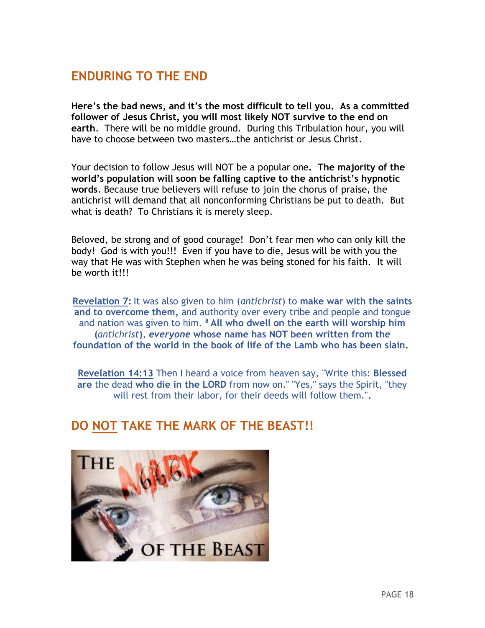## **ENDURING TO THE END**

**Here's the bad news, and it's the most difficult to tell you. As a committed follower of Jesus Christ, you will most likely NOT survive to the end on earth**. There will be no middle ground. During this Tribulation hour, you will have to choose between two masters…the antichrist or Jesus Christ.

Your decision to follow Jesus will NOT be a popular one**. The majority of the world's population will soon be falling captive to the antichrist's hypnotic words**. Because true believers will refuse to join the chorus of praise, the antichrist will demand that all nonconforming Christians be put to death. But what is death? To Christians it is merely sleep.

Beloved, be strong and of good courage! Don't fear men who can only kill the body! God is with you!!! Even if you have to die, Jesus will be with you the way that He was with Stephen when he was being stoned for his faith. It will be worth it!!!

**Revelation 7:** It was also given to him (*antichrist*) to **make war with the saints and to overcome them,** and authority over every tribe and people and tongue and nation was given to him. **<sup>8</sup> All who dwell on the earth will worship him (***antichrist***)**, *everyone* **whose name has NOT been written from the foundation of the world in the book of life of the Lamb who has been slain.**

**[Revelation 14:13](http://www.biblica.com/en-us/bible/online-bible/niv/revelation/14/)** Then I heard a voice from heaven say, "Write this: **Blessed are** the dead **who die in the LORD** from now on." "Yes," says the Spirit, "they will rest from their labor, for their deeds will follow them."**.**

## **DO NOT TAKE THE MARK OF THE BEAST!!**

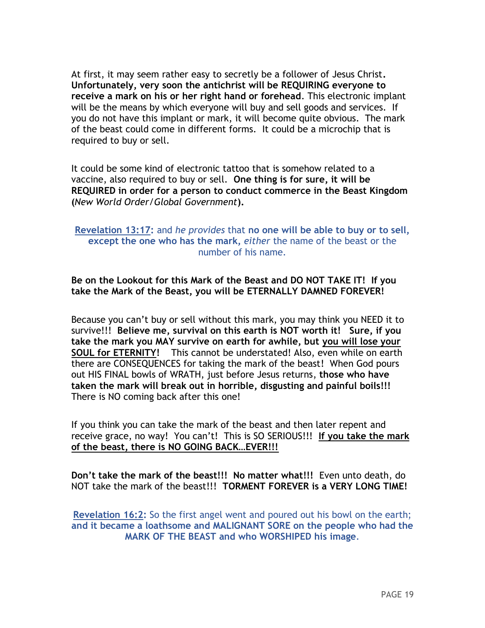At first, it may seem rather easy to secretly be a follower of Jesus Christ**. Unfortunately, very soon the antichrist will be REQUIRING everyone to receive a mark on his or her right hand or forehead**. This electronic implant will be the means by which everyone will buy and sell goods and services. If you do not have this implant or mark, it will become quite obvious. The mark of the beast could come in different forms. It could be a microchip that is required to buy or sell.

It could be some kind of electronic tattoo that is somehow related to a vaccine, also required to buy or sell. **One thing is for sure, it will be REQUIRED in order for a person to conduct commerce in the Beast Kingdom (***New World Order/Global Government***).**

#### **Revelation 13:17:** and *he provides* that **no one will be able to buy or to sell, except the one who has the mark,** *either* the name of the beast or the number of his name.

#### **Be on the Lookout for this Mark of the Beast and DO NOT TAKE IT! If you take the Mark of the Beast, you will be ETERNALLY DAMNED FOREVER!**

Because you can't buy or sell without this mark, you may think you NEED it to survive!!! **Believe me, survival on this earth is NOT worth it! Sure, if you take the mark you MAY survive on earth for awhile, but you will lose your SOUL for ETERNITY!** This cannot be understated! Also, even while on earth there are CONSEQUENCES for taking the mark of the beast! When God pours out HIS FINAL bowls of WRATH, just before Jesus returns, **those who have taken the mark will break out in horrible, disgusting and painful boils!!!** There is NO coming back after this one!

If you think you can take the mark of the beast and then later repent and receive grace, no way! You can't! This is SO SERIOUS!!! **If you take the mark of the beast, there is NO GOING BACK…EVER!!!**

**Don't take the mark of the beast!!! No matter what!!!** Even unto death, do NOT take the mark of the beast!!! **TORMENT FOREVER is a VERY LONG TIME!**

**Revelation 16:2:** So the first angel went and poured out his bowl on the earth; **and it became a loathsome and MALIGNANT SORE on the people who had the MARK OF THE BEAST and who WORSHIPED his image**.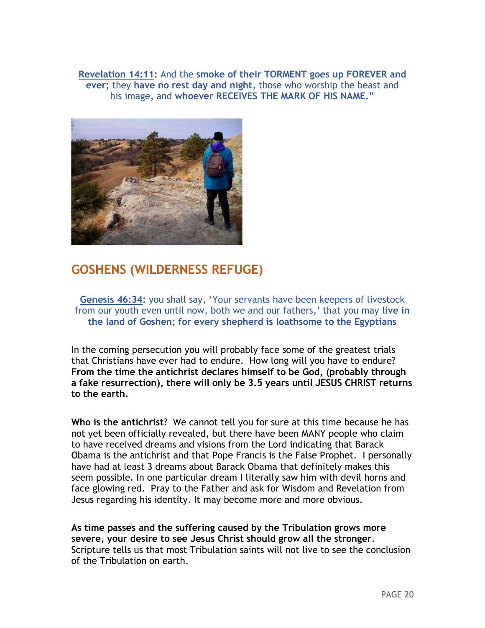**Revelation 14:11:** And the **smoke of their TORMENT goes up FOREVER and ever;** they **have no rest day and night**, those who worship the beast and his image, and **whoever RECEIVES THE MARK OF HIS NAME."**



## **GOSHENS (WILDERNESS REFUGE)**

**Genesis 46:34:** you shall say, 'Your servants have been keepers of livestock from our youth even until now, both we and our fathers,' that you may **live in the land of Goshen; for every shepherd is loathsome to the Egyptians**

In the coming persecution you will probably face some of the greatest trials that Christians have ever had to endure. How long will you have to endure? **From the time the antichrist declares himself to be God, (probably through a fake resurrection), there will only be 3.5 years until JESUS CHRIST returns to the earth.** 

**Who is the antichrist**? We cannot tell you for sure at this time because he has not yet been officially revealed, but there have been MANY people who claim to have received dreams and visions from the Lord indicating that Barack Obama is the antichrist and that Pope Francis is the False Prophet. I personally have had at least 3 dreams about Barack Obama that definitely makes this seem possible. In one particular dream I literally saw him with devil horns and face glowing red. Pray to the Father and ask for Wisdom and Revelation from Jesus regarding his identity. It may become more and more obvious.

**As time passes and the suffering caused by the Tribulation grows more severe, your desire to see Jesus Christ should grow all the stronger**. Scripture tells us that most Tribulation saints will not live to see the conclusion of the Tribulation on earth.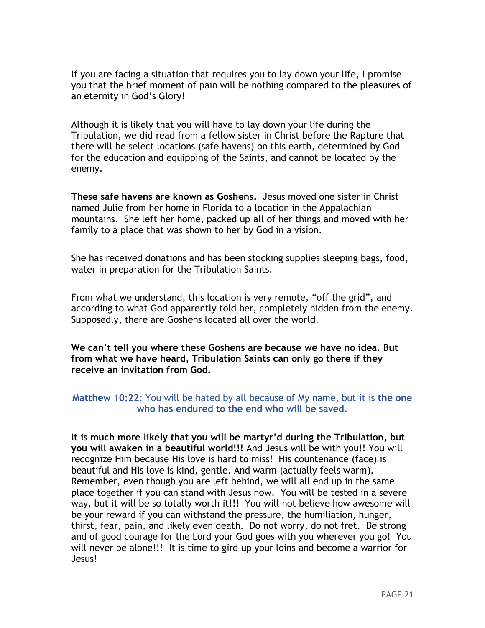If you are facing a situation that requires you to lay down your life, I promise you that the brief moment of pain will be nothing compared to the pleasures of an eternity in God's Glory!

Although it is likely that you will have to lay down your life during the Tribulation, we did read from a fellow sister in Christ before the Rapture that there will be select locations (safe havens) on this earth, determined by God for the education and equipping of the Saints, and cannot be located by the enemy.

**These safe havens are known as Goshens.** Jesus moved one sister in Christ named Julie from her home in Florida to a location in the Appalachian mountains. She left her home, packed up all of her things and moved with her family to a place that was shown to her by God in a vision.

She has received donations and has been stocking supplies sleeping bags, food, water in preparation for the Tribulation Saints.

From what we understand, this location is very remote, "off the grid", and according to what God apparently told her, completely hidden from the enemy. Supposedly, there are Goshens located all over the world.

**We can't tell you where these Goshens are because we have no idea. But from what we have heard, Tribulation Saints can only go there if they receive an invitation from God.**

#### **Matthew 10:22**: You will be hated by all because of My name, but it is **the one who has endured to the end who will be saved.**

**It is much more likely that you will be martyr'd during the Tribulation, but you will awaken in a beautiful world!!!** And Jesus will be with you!! You will recognize Him because His love is hard to miss! His countenance (face) is beautiful and His love is kind, gentle. And warm (actually feels warm). Remember, even though you are left behind, we will all end up in the same place together if you can stand with Jesus now. You will be tested in a severe way, but it will be so totally worth it!!! You will not believe how awesome will be your reward if you can withstand the pressure, the humiliation, hunger, thirst, fear, pain, and likely even death. Do not worry, do not fret. Be strong and of good courage for the Lord your God goes with you wherever you go! You will never be alone!!! It is time to gird up your loins and become a warrior for Jesus!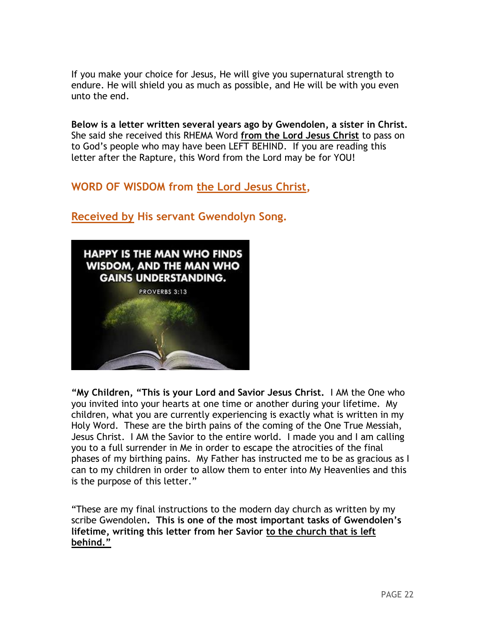If you make your choice for Jesus, He will give you supernatural strength to endure. He will shield you as much as possible, and He will be with you even unto the end.

**Below is a letter written several years ago by Gwendolen, a sister in Christ.**  She said she received this RHEMA Word **from the Lord Jesus Christ** to pass on to God's people who may have been LEFT BEHIND. If you are reading this letter after the Rapture, this Word from the Lord may be for YOU!

## **WORD OF WISDOM from the Lord Jesus Christ,**

## **Received by His servant Gwendolyn Song.**



**"My Children, "This is your Lord and Savior Jesus Christ.** I AM the One who you invited into your hearts at one time or another during your lifetime. My children, what you are currently experiencing is exactly what is written in my Holy Word. These are the birth pains of the coming of the One True Messiah, Jesus Christ. I AM the Savior to the entire world. I made you and I am calling you to a full surrender in Me in order to escape the atrocities of the final phases of my birthing pains. My Father has instructed me to be as gracious as I can to my children in order to allow them to enter into My Heavenlies and this is the purpose of this letter."

"These are my final instructions to the modern day church as written by my scribe Gwendolen**. This is one of the most important tasks of Gwendolen's lifetime, writing this letter from her Savior to the church that is left behind."**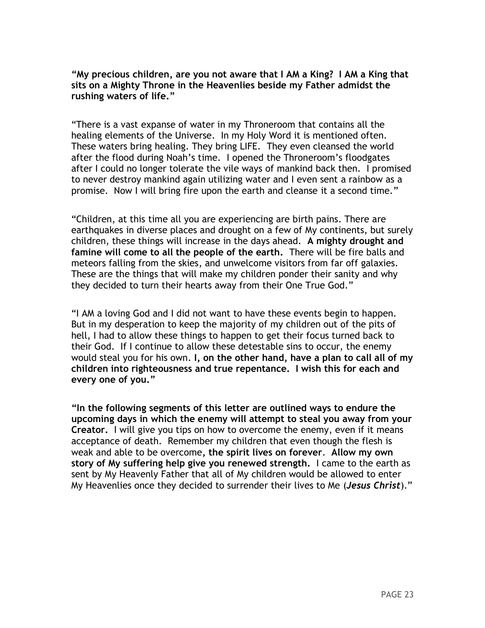**"My precious children, are you not aware that I AM a King? I AM a King that sits on a Mighty Throne in the Heavenlies beside my Father admidst the rushing waters of life."**

"There is a vast expanse of water in my Throneroom that contains all the healing elements of the Universe. In my Holy Word it is mentioned often. These waters bring healing. They bring LIFE. They even cleansed the world after the flood during Noah's time. I opened the Throneroom's floodgates after I could no longer tolerate the vile ways of mankind back then. I promised to never destroy mankind again utilizing water and I even sent a rainbow as a promise. Now I will bring fire upon the earth and cleanse it a second time."

"Children, at this time all you are experiencing are birth pains. There are earthquakes in diverse places and drought on a few of My continents, but surely children, these things will increase in the days ahead. **A mighty drought and famine will come to all the people of the earth.** There will be fire balls and meteors falling from the skies, and unwelcome visitors from far off galaxies. These are the things that will make my children ponder their sanity and why they decided to turn their hearts away from their One True God."

"I AM a loving God and I did not want to have these events begin to happen. But in my desperation to keep the majority of my children out of the pits of hell, I had to allow these things to happen to get their focus turned back to their God. If I continue to allow these detestable sins to occur, the enemy would steal you for his own. **I, on the other hand, have a plan to call all of my children into righteousness and true repentance. I wish this for each and every one of you."** 

**"In the following segments of this letter are outlined ways to endure the upcoming days in which the enemy will attempt to steal you away from your Creator.** I will give you tips on how to overcome the enemy, even if it means acceptance of death. Remember my children that even though the flesh is weak and able to be overcome**, the spirit lives on forever**. **Allow my own story of My suffering help give you renewed strength.** I came to the earth as sent by My Heavenly Father that all of My children would be allowed to enter My Heavenlies once they decided to surrender their lives to Me (*Jesus Christ*)."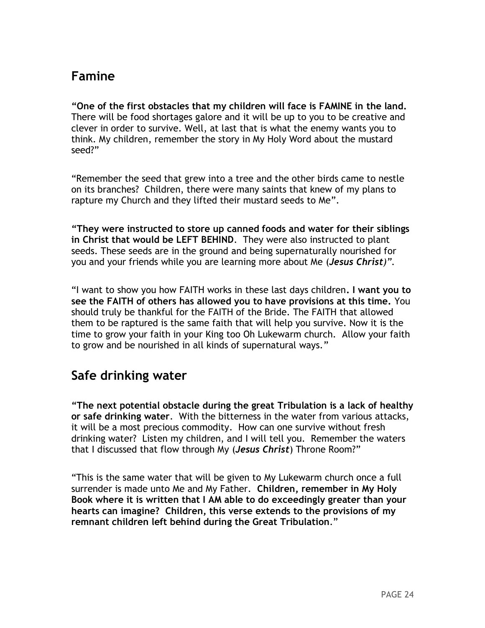## **Famine**

**"One of the first obstacles that my children will face is FAMINE in the land.** There will be food shortages galore and it will be up to you to be creative and clever in order to survive. Well, at last that is what the enemy wants you to think. My children, remember the story in My Holy Word about the mustard seed?"

"Remember the seed that grew into a tree and the other birds came to nestle on its branches? Children, there were many saints that knew of my plans to rapture my Church and they lifted their mustard seeds to Me".

**"They were instructed to store up canned foods and water for their siblings in Christ that would be LEFT BEHIND**. They were also instructed to plant seeds. These seeds are in the ground and being supernaturally nourished for you and your friends while you are learning more about Me (*Jesus Christ)".*

"I want to show you how FAITH works in these last days children**. I want you to see the FAITH of others has allowed you to have provisions at this time.** You should truly be thankful for the FAITH of the Bride. The FAITH that allowed them to be raptured is the same faith that will help you survive. Now it is the time to grow your faith in your King too Oh Lukewarm church. Allow your faith to grow and be nourished in all kinds of supernatural ways."

# **Safe drinking water**

**"The next potential obstacle during the great Tribulation is a lack of healthy or safe drinking water**. With the bitterness in the water from various attacks, it will be a most precious commodity. How can one survive without fresh drinking water? Listen my children, and I will tell you. Remember the waters that I discussed that flow through My (*Jesus Christ*) Throne Room?"

"This is the same water that will be given to My Lukewarm church once a full surrender is made unto Me and My Father. **Children, remember in My Holy Book where it is written that I AM able to do exceedingly greater than your hearts can imagine? Children, this verse extends to the provisions of my remnant children left behind during the Great Tribulation**."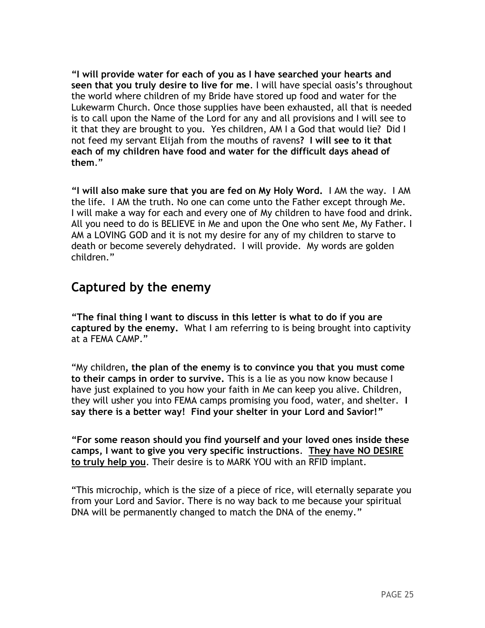**"I will provide water for each of you as I have searched your hearts and seen that you truly desire to live for me**. I will have special oasis's throughout the world where children of my Bride have stored up food and water for the Lukewarm Church. Once those supplies have been exhausted, all that is needed is to call upon the Name of the Lord for any and all provisions and I will see to it that they are brought to you. Yes children, AM I a God that would lie? Did I not feed my servant Elijah from the mouths of ravens**? I will see to it that each of my children have food and water for the difficult days ahead of them**."

**"I will also make sure that you are fed on My Holy Word.** I AM the way. I AM the life. I AM the truth. No one can come unto the Father except through Me. I will make a way for each and every one of My children to have food and drink. All you need to do is BELIEVE in Me and upon the One who sent Me, My Father. I AM a LOVING GOD and it is not my desire for any of my children to starve to death or become severely dehydrated. I will provide. My words are golden children."

## **Captured by the enemy**

**"The final thing I want to discuss in this letter is what to do if you are captured by the enemy.** What I am referring to is being brought into captivity at a FEMA CAMP."

"My children**, the plan of the enemy is to convince you that you must come to their camps in order to survive.** This is a lie as you now know because I have just explained to you how your faith in Me can keep you alive. Children, they will usher you into FEMA camps promising you food, water, and shelter. **I say there is a better way! Find your shelter in your Lord and Savior!"**

**"For some reason should you find yourself and your loved ones inside these camps, I want to give you very specific instructions**. **They have NO DESIRE to truly help you**. Their desire is to MARK YOU with an RFID implant.

"This microchip, which is the size of a piece of rice, will eternally separate you from your Lord and Savior. There is no way back to me because your spiritual DNA will be permanently changed to match the DNA of the enemy."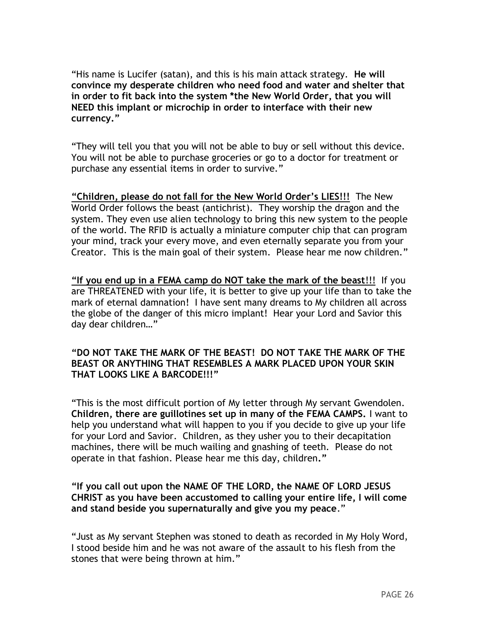"His name is Lucifer (satan), and this is his main attack strategy. **He will convince my desperate children who need food and water and shelter that in order to fit back into the system \*the New World Order, that you will NEED this implant or microchip in order to interface with their new currency."**

"They will tell you that you will not be able to buy or sell without this device. You will not be able to purchase groceries or go to a doctor for treatment or purchase any essential items in order to survive."

**"Children, please do not fall for the New World Order's LIES!!!** The New World Order follows the beast (antichrist). They worship the dragon and the system. They even use alien technology to bring this new system to the people of the world. The RFID is actually a miniature computer chip that can program your mind, track your every move, and even eternally separate you from your Creator. This is the main goal of their system. Please hear me now children."

**"If you end up in a FEMA camp do NOT take the mark of the beast**!!! If you are THREATENED with your life, it is better to give up your life than to take the mark of eternal damnation! I have sent many dreams to My children all across the globe of the danger of this micro implant! Hear your Lord and Savior this day dear children…"

#### **"DO NOT TAKE THE MARK OF THE BEAST! DO NOT TAKE THE MARK OF THE BEAST OR ANYTHING THAT RESEMBLES A MARK PLACED UPON YOUR SKIN THAT LOOKS LIKE A BARCODE!!!"**

"This is the most difficult portion of My letter through My servant Gwendolen. **Children, there are guillotines set up in many of the FEMA CAMPS.** I want to help you understand what will happen to you if you decide to give up your life for your Lord and Savior. Children, as they usher you to their decapitation machines, there will be much wailing and gnashing of teeth. Please do not operate in that fashion. Please hear me this day, children**."**

**"If you call out upon the NAME OF THE LORD, the NAME OF LORD JESUS CHRIST as you have been accustomed to calling your entire life, I will come and stand beside you supernaturally and give you my peace**."

"Just as My servant Stephen was stoned to death as recorded in My Holy Word, I stood beside him and he was not aware of the assault to his flesh from the stones that were being thrown at him."